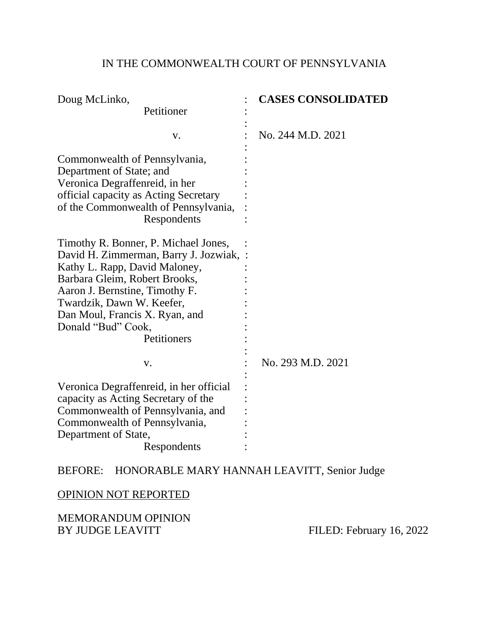# IN THE COMMONWEALTH COURT OF PENNSYLVANIA

| Doug McLinko,                                                                                                                                                                                                                                                                           | <b>CASES CONSOLIDATED</b> |
|-----------------------------------------------------------------------------------------------------------------------------------------------------------------------------------------------------------------------------------------------------------------------------------------|---------------------------|
| Petitioner                                                                                                                                                                                                                                                                              |                           |
| V.                                                                                                                                                                                                                                                                                      | No. 244 M.D. 2021         |
| Commonwealth of Pennsylvania,<br>Department of State; and<br>Veronica Degraffenreid, in her<br>official capacity as Acting Secretary<br>of the Commonwealth of Pennsylvania,<br>Respondents                                                                                             |                           |
| Timothy R. Bonner, P. Michael Jones,<br>David H. Zimmerman, Barry J. Jozwiak, :<br>Kathy L. Rapp, David Maloney,<br>Barbara Gleim, Robert Brooks,<br>Aaron J. Bernstine, Timothy F.<br>Twardzik, Dawn W. Keefer,<br>Dan Moul, Francis X. Ryan, and<br>Donald "Bud" Cook,<br>Petitioners |                           |
| V.                                                                                                                                                                                                                                                                                      | No. 293 M.D. 2021         |
| Veronica Degraffenreid, in her official<br>capacity as Acting Secretary of the<br>Commonwealth of Pennsylvania, and<br>Commonwealth of Pennsylvania,<br>Department of State,<br>Respondents                                                                                             |                           |

# BEFORE: HONORABLE MARY HANNAH LEAVITT, Senior Judge

# OPINION NOT REPORTED

MEMORANDUM OPINION<br>BY JUDGE LEAVITT

FILED: February 16, 2022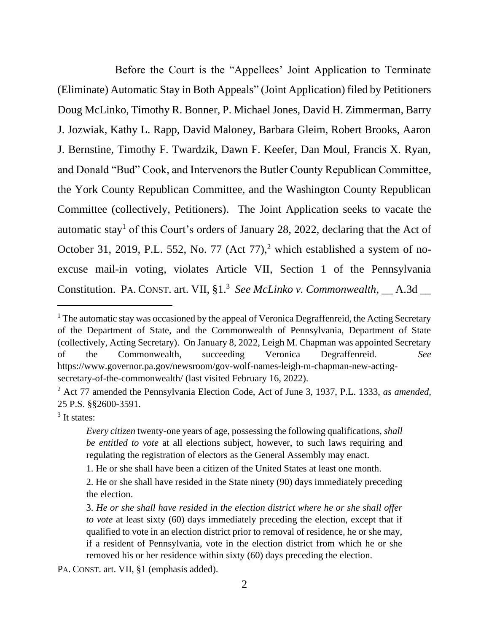Before the Court is the "Appellees' Joint Application to Terminate (Eliminate) Automatic Stay in Both Appeals" (Joint Application) filed by Petitioners Doug McLinko, Timothy R. Bonner, P. Michael Jones, David H. Zimmerman, Barry J. Jozwiak, Kathy L. Rapp, David Maloney, Barbara Gleim, Robert Brooks, Aaron J. Bernstine, Timothy F. Twardzik, Dawn F. Keefer, Dan Moul, Francis X. Ryan, and Donald "Bud" Cook, and Intervenors the Butler County Republican Committee, the York County Republican Committee, and the Washington County Republican Committee (collectively, Petitioners). The Joint Application seeks to vacate the automatic stay<sup>1</sup> of this Court's orders of January 28, 2022, declaring that the Act of October 31, 2019, P.L. 552, No. 77 (Act 77),<sup>2</sup> which established a system of noexcuse mail-in voting, violates Article VII, Section 1 of the Pennsylvania Constitution. PA. CONST. art. VII, §1.<sup>3</sup> See McLinko v. Commonwealth, \_\_ A.3d \_\_

<sup>3</sup> It states:

 $<sup>1</sup>$  The automatic stay was occasioned by the appeal of Veronica Degraffenreid, the Acting Secretary</sup> of the Department of State, and the Commonwealth of Pennsylvania, Department of State (collectively, Acting Secretary). On January 8, 2022, Leigh M. Chapman was appointed Secretary of the Commonwealth, succeeding Veronica Degraffenreid. *See* https://www.governor.pa.gov/newsroom/gov-wolf-names-leigh-m-chapman-new-actingsecretary-of-the-commonwealth/ (last visited February 16, 2022).

<sup>2</sup> Act 77 amended the Pennsylvania Election Code, Act of June 3, 1937, P.L. 1333, *as amended,*  25 P.S. §§2600-3591.

*Every citizen* twenty-one years of age, possessing the following qualifications, *shall be entitled to vote* at all elections subject, however, to such laws requiring and regulating the registration of electors as the General Assembly may enact.

<sup>1.</sup> He or she shall have been a citizen of the United States at least one month.

<sup>2.</sup> He or she shall have resided in the State ninety (90) days immediately preceding the election.

<sup>3.</sup> *He or she shall have resided in the election district where he or she shall offer to vote* at least sixty (60) days immediately preceding the election, except that if qualified to vote in an election district prior to removal of residence, he or she may, if a resident of Pennsylvania, vote in the election district from which he or she removed his or her residence within sixty (60) days preceding the election.

PA. CONST. art. VII, §1 (emphasis added).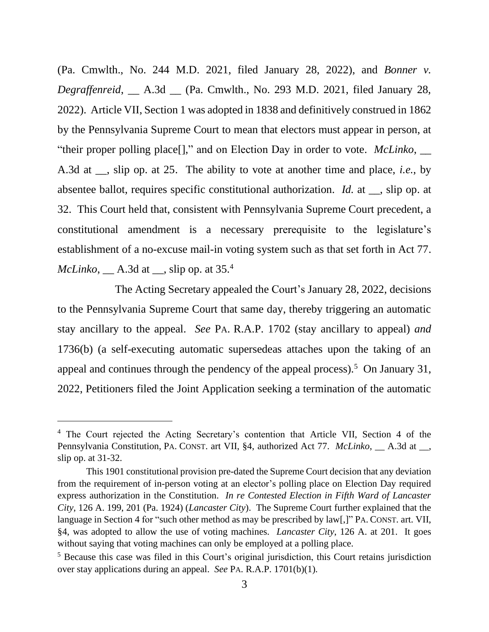(Pa. Cmwlth., No. 244 M.D. 2021, filed January 28, 2022), and *Bonner v. Degraffenreid*, \_\_ A.3d \_\_ (Pa. Cmwlth., No. 293 M.D. 2021, filed January 28, 2022). Article VII, Section 1 was adopted in 1838 and definitively construed in 1862 by the Pennsylvania Supreme Court to mean that electors must appear in person, at "their proper polling place[]," and on Election Day in order to vote. *McLinko*, \_\_ A.3d at \_\_, slip op. at 25. The ability to vote at another time and place, *i.e.*, by absentee ballot, requires specific constitutional authorization. *Id.* at \_\_, slip op. at 32. This Court held that, consistent with Pennsylvania Supreme Court precedent, a constitutional amendment is a necessary prerequisite to the legislature's establishment of a no-excuse mail-in voting system such as that set forth in Act 77. *McLinko*, <u>A.3d</u> at <u>sip</u> op. at 35.<sup>4</sup>

The Acting Secretary appealed the Court's January 28, 2022, decisions to the Pennsylvania Supreme Court that same day, thereby triggering an automatic stay ancillary to the appeal. *See* PA. R.A.P. 1702 (stay ancillary to appeal) *and* 1736(b) (a self-executing automatic supersedeas attaches upon the taking of an appeal and continues through the pendency of the appeal process).<sup>5</sup> On January 31, 2022, Petitioners filed the Joint Application seeking a termination of the automatic

<sup>&</sup>lt;sup>4</sup> The Court rejected the Acting Secretary's contention that Article VII, Section 4 of the Pennsylvania Constitution, PA. CONST. art VII, §4, authorized Act 77. *McLinko*, \_\_ A.3d at \_\_, slip op. at 31-32.

This 1901 constitutional provision pre-dated the Supreme Court decision that any deviation from the requirement of in-person voting at an elector's polling place on Election Day required express authorization in the Constitution. *In re Contested Election in Fifth Ward of Lancaster City*, 126 A. 199, 201 (Pa. 1924) (*Lancaster City*). The Supreme Court further explained that the language in Section 4 for "such other method as may be prescribed by law[,]" PA. CONST. art. VII, §4, was adopted to allow the use of voting machines. *Lancaster City*, 126 A. at 201. It goes without saying that voting machines can only be employed at a polling place.

<sup>5</sup> Because this case was filed in this Court's original jurisdiction, this Court retains jurisdiction over stay applications during an appeal. *See* PA. R.A.P. 1701(b)(1).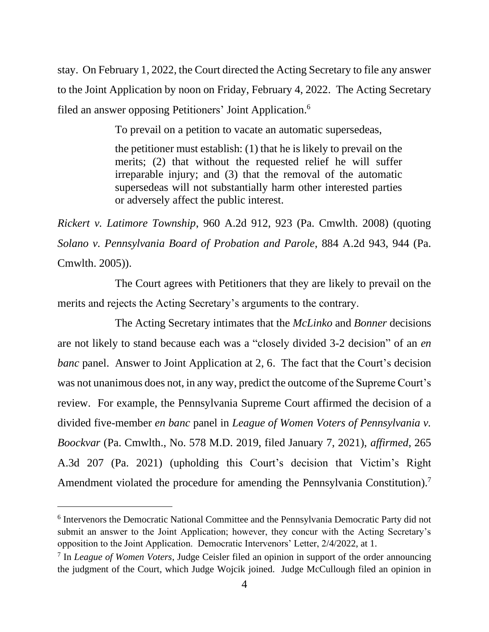stay. On February 1, 2022, the Court directed the Acting Secretary to file any answer to the Joint Application by noon on Friday, February 4, 2022. The Acting Secretary filed an answer opposing Petitioners' Joint Application.<sup>6</sup>

To prevail on a petition to vacate an automatic supersedeas,

the petitioner must establish: (1) that he is likely to prevail on the merits; (2) that without the requested relief he will suffer irreparable injury; and (3) that the removal of the automatic supersedeas will not substantially harm other interested parties or adversely affect the public interest.

*Rickert v. Latimore Township*, 960 A.2d 912, 923 (Pa. Cmwlth. 2008) (quoting *Solano v. Pennsylvania Board of Probation and Parole*, 884 A.2d 943, 944 (Pa. Cmwlth. 2005)).

The Court agrees with Petitioners that they are likely to prevail on the merits and rejects the Acting Secretary's arguments to the contrary.

The Acting Secretary intimates that the *McLinko* and *Bonner* decisions are not likely to stand because each was a "closely divided 3-2 decision" of an *en banc* panel. Answer to Joint Application at 2, 6. The fact that the Court's decision was not unanimous does not, in any way, predict the outcome of the Supreme Court's review. For example, the Pennsylvania Supreme Court affirmed the decision of a divided five-member *en banc* panel in *League of Women Voters of Pennsylvania v. Boockvar* (Pa. Cmwlth., No. 578 M.D. 2019, filed January 7, 2021), *affirmed*, 265 A.3d 207 (Pa. 2021) (upholding this Court's decision that Victim's Right Amendment violated the procedure for amending the Pennsylvania Constitution).<sup>7</sup>

<sup>&</sup>lt;sup>6</sup> Intervenors the Democratic National Committee and the Pennsylvania Democratic Party did not submit an answer to the Joint Application; however, they concur with the Acting Secretary's opposition to the Joint Application. Democratic Intervenors' Letter, 2/4/2022, at 1.

<sup>7</sup> In *League of Women Voters*, Judge Ceisler filed an opinion in support of the order announcing the judgment of the Court, which Judge Wojcik joined. Judge McCullough filed an opinion in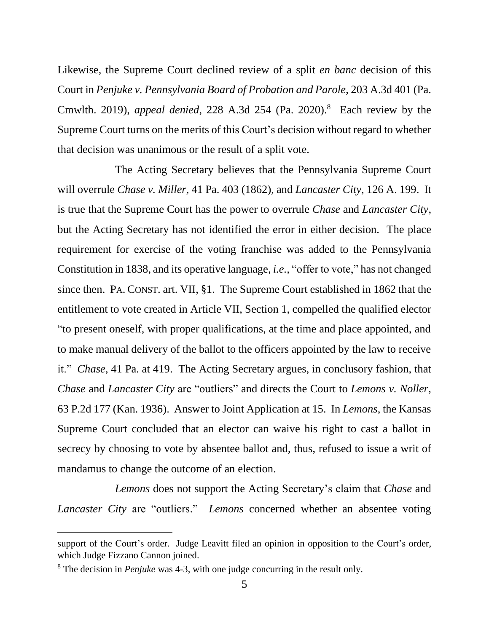Likewise, the Supreme Court declined review of a split *en banc* decision of this Court in *Penjuke v. Pennsylvania Board of Probation and Parole*, 203 A.3d 401 (Pa. Cmwlth. 2019), *appeal denied*, 228 A.3d 254 (Pa. 2020).<sup>8</sup> Each review by the Supreme Court turns on the merits of this Court's decision without regard to whether that decision was unanimous or the result of a split vote.

The Acting Secretary believes that the Pennsylvania Supreme Court will overrule *Chase v. Miller*, 41 Pa. 403 (1862), and *Lancaster City*, 126 A. 199. It is true that the Supreme Court has the power to overrule *Chase* and *Lancaster City*, but the Acting Secretary has not identified the error in either decision. The place requirement for exercise of the voting franchise was added to the Pennsylvania Constitution in 1838, and its operative language, *i.e.,* "offer to vote," has not changed since then. PA. CONST. art. VII, §1. The Supreme Court established in 1862 that the entitlement to vote created in Article VII, Section 1, compelled the qualified elector "to present oneself, with proper qualifications, at the time and place appointed, and to make manual delivery of the ballot to the officers appointed by the law to receive it." *Chase*, 41 Pa. at 419. The Acting Secretary argues, in conclusory fashion, that *Chase* and *Lancaster City* are "outliers" and directs the Court to *Lemons v. Noller*, 63 P.2d 177 (Kan. 1936). Answer to Joint Application at 15. In *Lemons*, the Kansas Supreme Court concluded that an elector can waive his right to cast a ballot in secrecy by choosing to vote by absentee ballot and, thus, refused to issue a writ of mandamus to change the outcome of an election.

*Lemons* does not support the Acting Secretary's claim that *Chase* and *Lancaster City* are "outliers." *Lemons* concerned whether an absentee voting

support of the Court's order. Judge Leavitt filed an opinion in opposition to the Court's order, which Judge Fizzano Cannon joined.

<sup>8</sup> The decision in *Penjuke* was 4-3, with one judge concurring in the result only.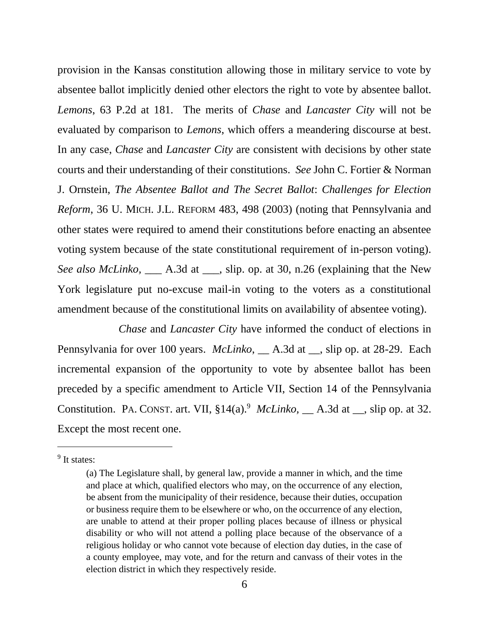provision in the Kansas constitution allowing those in military service to vote by absentee ballot implicitly denied other electors the right to vote by absentee ballot. *Lemons*, 63 P.2d at 181*.* The merits of *Chase* and *Lancaster City* will not be evaluated by comparison to *Lemons*, which offers a meandering discourse at best. In any case, *Chase* and *Lancaster City* are consistent with decisions by other state courts and their understanding of their constitutions. *See* John C. Fortier & Norman J. Ornstein, *The Absentee Ballot and The Secret Ballot*: *Challenges for Election Reform*, 36 U. MICH. J.L. REFORM 483, 498 (2003) (noting that Pennsylvania and other states were required to amend their constitutions before enacting an absentee voting system because of the state constitutional requirement of in-person voting). *See also McLinko,* \_\_\_ A.3d at \_\_\_, slip. op. at 30, n.26 (explaining that the New York legislature put no-excuse mail-in voting to the voters as a constitutional amendment because of the constitutional limits on availability of absentee voting).

*Chase* and *Lancaster City* have informed the conduct of elections in Pennsylvania for over 100 years. *McLinko*, \_\_ A.3d at \_\_, slip op. at 28-29. Each incremental expansion of the opportunity to vote by absentee ballot has been preceded by a specific amendment to Article VII, Section 14 of the Pennsylvania Constitution. PA. CONST. art. VII, §14(a).<sup>9</sup> *McLinko*, *\_\_* A.3d at *\_\_*, slip op. at 32. Except the most recent one.

<sup>&</sup>lt;sup>9</sup> It states:

<sup>(</sup>a) The Legislature shall, by general law, provide a manner in which, and the time and place at which, qualified electors who may, on the occurrence of any election, be absent from the municipality of their residence, because their duties, occupation or business require them to be elsewhere or who, on the occurrence of any election, are unable to attend at their proper polling places because of illness or physical disability or who will not attend a polling place because of the observance of a religious holiday or who cannot vote because of election day duties, in the case of a county employee, may vote, and for the return and canvass of their votes in the election district in which they respectively reside.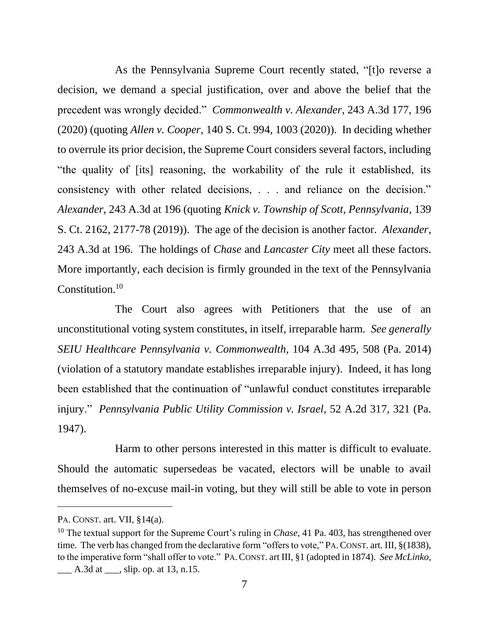As the Pennsylvania Supreme Court recently stated, "[t]o reverse a decision, we demand a special justification, over and above the belief that the precedent was wrongly decided." *Commonwealth v. Alexander*, 243 A.3d 177, 196 (2020) (quoting *Allen v. Cooper*, 140 S. Ct. 994, 1003 (2020)). In deciding whether to overrule its prior decision, the Supreme Court considers several factors, including "the quality of [its] reasoning, the workability of the rule it established, its consistency with other related decisions, . . . and reliance on the decision." *Alexander*, 243 A.3d at 196 (quoting *Knick v. Township of Scott, Pennsylvania*, 139 S. Ct. 2162, 2177-78 (2019)). The age of the decision is another factor. *Alexander*, 243 A.3d at 196. The holdings of *Chase* and *Lancaster City* meet all these factors. More importantly, each decision is firmly grounded in the text of the Pennsylvania Constitution.<sup>10</sup>

The Court also agrees with Petitioners that the use of an unconstitutional voting system constitutes, in itself, irreparable harm. *See generally SEIU Healthcare Pennsylvania v. Commonwealth*, 104 A.3d 495, 508 (Pa. 2014) (violation of a statutory mandate establishes irreparable injury). Indeed, it has long been established that the continuation of "unlawful conduct constitutes irreparable injury." *Pennsylvania Public Utility Commission v. Israel*, 52 A.2d 317, 321 (Pa. 1947).

Harm to other persons interested in this matter is difficult to evaluate. Should the automatic supersedeas be vacated, electors will be unable to avail themselves of no-excuse mail-in voting, but they will still be able to vote in person

PA. CONST. art. VII, §14(a).

<sup>&</sup>lt;sup>10</sup> The textual support for the Supreme Court's ruling in *Chase*, 41 Pa. 403, has strengthened over time. The verb has changed from the declarative form "offers to vote," PA.CONST. art. III, §(1838), to the imperative form "shall offer to vote." PA.CONST. art III, §1 (adopted in 1874). *See McLinko,* 

 $\_\_\_\$  A.3d at  $\_\_\_\$ , slip. op. at 13, n.15.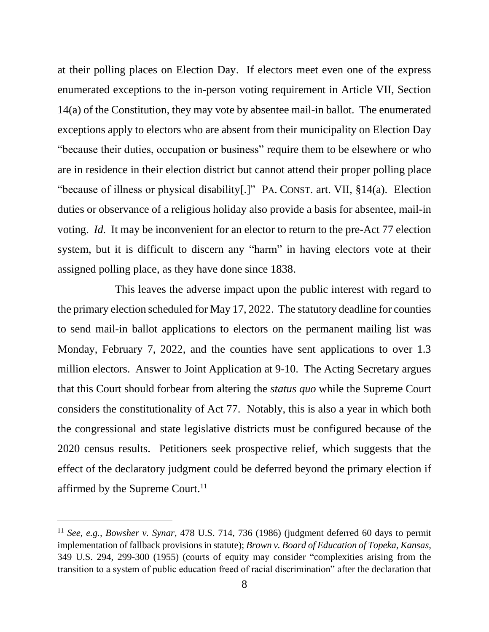at their polling places on Election Day. If electors meet even one of the express enumerated exceptions to the in-person voting requirement in Article VII, Section 14(a) of the Constitution, they may vote by absentee mail-in ballot. The enumerated exceptions apply to electors who are absent from their municipality on Election Day "because their duties, occupation or business" require them to be elsewhere or who are in residence in their election district but cannot attend their proper polling place "because of illness or physical disability[.]" PA. CONST. art. VII, §14(a). Election duties or observance of a religious holiday also provide a basis for absentee, mail-in voting. *Id.* It may be inconvenient for an elector to return to the pre-Act 77 election system, but it is difficult to discern any "harm" in having electors vote at their assigned polling place, as they have done since 1838.

This leaves the adverse impact upon the public interest with regard to the primary election scheduled for May 17, 2022. The statutory deadline for counties to send mail-in ballot applications to electors on the permanent mailing list was Monday, February 7, 2022, and the counties have sent applications to over 1.3 million electors. Answer to Joint Application at 9-10. The Acting Secretary argues that this Court should forbear from altering the *status quo* while the Supreme Court considers the constitutionality of Act 77. Notably, this is also a year in which both the congressional and state legislative districts must be configured because of the 2020 census results. Petitioners seek prospective relief, which suggests that the effect of the declaratory judgment could be deferred beyond the primary election if affirmed by the Supreme Court.<sup>11</sup>

<sup>11</sup> *See, e.g., Bowsher v. Synar,* 478 U.S. 714, 736 (1986) (judgment deferred 60 days to permit implementation of fallback provisions in statute); *Brown v. Board of Education of Topeka, Kansas*, 349 U.S. 294, 299-300 (1955) (courts of equity may consider "complexities arising from the transition to a system of public education freed of racial discrimination" after the declaration that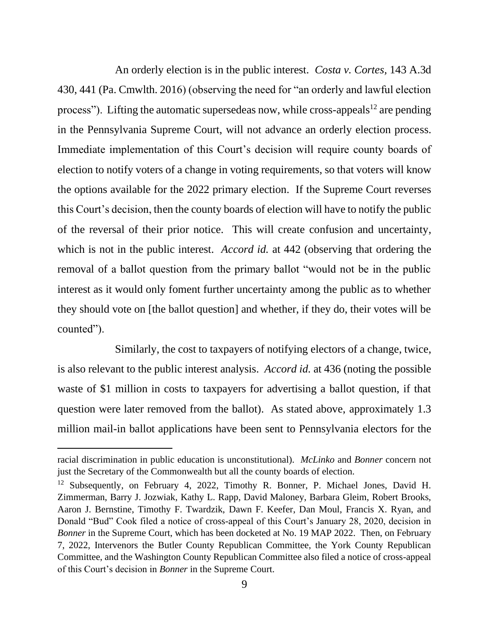An orderly election is in the public interest. *Costa v. Cortes,* 143 A.3d 430, 441 (Pa. Cmwlth. 2016) (observing the need for "an orderly and lawful election process"). Lifting the automatic supersedeas now, while cross-appeals<sup>12</sup> are pending in the Pennsylvania Supreme Court, will not advance an orderly election process. Immediate implementation of this Court's decision will require county boards of election to notify voters of a change in voting requirements, so that voters will know the options available for the 2022 primary election. If the Supreme Court reverses this Court's decision, then the county boards of election will have to notify the public of the reversal of their prior notice. This will create confusion and uncertainty, which is not in the public interest. *Accord id.* at 442 (observing that ordering the removal of a ballot question from the primary ballot "would not be in the public interest as it would only foment further uncertainty among the public as to whether they should vote on [the ballot question] and whether, if they do, their votes will be counted").

Similarly, the cost to taxpayers of notifying electors of a change, twice, is also relevant to the public interest analysis. *Accord id.* at 436 (noting the possible waste of \$1 million in costs to taxpayers for advertising a ballot question, if that question were later removed from the ballot). As stated above, approximately 1.3 million mail-in ballot applications have been sent to Pennsylvania electors for the

racial discrimination in public education is unconstitutional). *McLinko* and *Bonner* concern not just the Secretary of the Commonwealth but all the county boards of election.

<sup>&</sup>lt;sup>12</sup> Subsequently, on February 4, 2022, Timothy R. Bonner, P. Michael Jones, David H. Zimmerman, Barry J. Jozwiak, Kathy L. Rapp, David Maloney, Barbara Gleim, Robert Brooks, Aaron J. Bernstine, Timothy F. Twardzik, Dawn F. Keefer, Dan Moul, Francis X. Ryan, and Donald "Bud" Cook filed a notice of cross-appeal of this Court's January 28, 2020, decision in *Bonner* in the Supreme Court, which has been docketed at No. 19 MAP 2022. Then, on February 7, 2022, Intervenors the Butler County Republican Committee, the York County Republican Committee, and the Washington County Republican Committee also filed a notice of cross-appeal of this Court's decision in *Bonner* in the Supreme Court.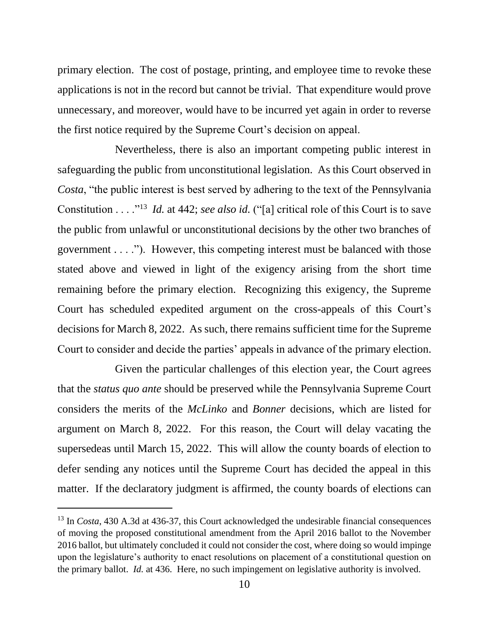primary election. The cost of postage, printing, and employee time to revoke these applications is not in the record but cannot be trivial. That expenditure would prove unnecessary, and moreover, would have to be incurred yet again in order to reverse the first notice required by the Supreme Court's decision on appeal.

Nevertheless, there is also an important competing public interest in safeguarding the public from unconstitutional legislation. As this Court observed in *Costa*, "the public interest is best served by adhering to the text of the Pennsylvania Constitution . . . .<sup>"13</sup> *Id.* at 442; *see also id.* ("[a] critical role of this Court is to save the public from unlawful or unconstitutional decisions by the other two branches of government . . . ."). However, this competing interest must be balanced with those stated above and viewed in light of the exigency arising from the short time remaining before the primary election. Recognizing this exigency, the Supreme Court has scheduled expedited argument on the cross-appeals of this Court's decisions for March 8, 2022. As such, there remains sufficient time for the Supreme Court to consider and decide the parties' appeals in advance of the primary election.

Given the particular challenges of this election year, the Court agrees that the *status quo ante* should be preserved while the Pennsylvania Supreme Court considers the merits of the *McLinko* and *Bonner* decisions, which are listed for argument on March 8, 2022. For this reason, the Court will delay vacating the supersedeas until March 15, 2022. This will allow the county boards of election to defer sending any notices until the Supreme Court has decided the appeal in this matter. If the declaratory judgment is affirmed, the county boards of elections can

<sup>&</sup>lt;sup>13</sup> In *Costa*, 430 A.3d at 436-37, this Court acknowledged the undesirable financial consequences of moving the proposed constitutional amendment from the April 2016 ballot to the November 2016 ballot, but ultimately concluded it could not consider the cost, where doing so would impinge upon the legislature's authority to enact resolutions on placement of a constitutional question on the primary ballot. *Id.* at 436. Here, no such impingement on legislative authority is involved.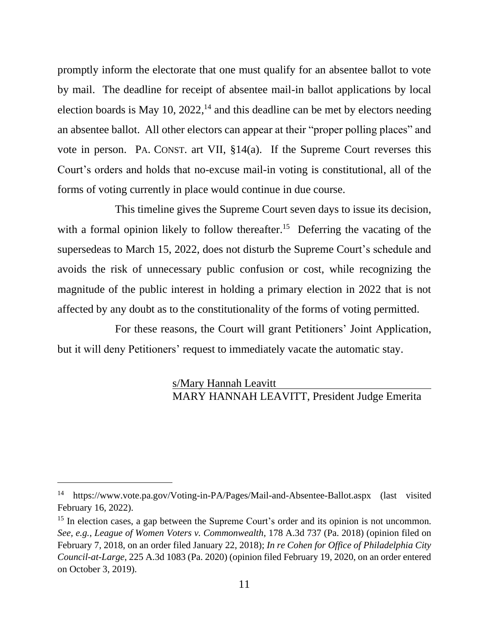promptly inform the electorate that one must qualify for an absentee ballot to vote by mail. The deadline for receipt of absentee mail-in ballot applications by local election boards is May 10,  $2022$ ,<sup>14</sup> and this deadline can be met by electors needing an absentee ballot. All other electors can appear at their "proper polling places" and vote in person. PA. CONST. art VII, §14(a). If the Supreme Court reverses this Court's orders and holds that no-excuse mail-in voting is constitutional, all of the forms of voting currently in place would continue in due course.

This timeline gives the Supreme Court seven days to issue its decision, with a formal opinion likely to follow thereafter.<sup>15</sup> Deferring the vacating of the supersedeas to March 15, 2022, does not disturb the Supreme Court's schedule and avoids the risk of unnecessary public confusion or cost, while recognizing the magnitude of the public interest in holding a primary election in 2022 that is not affected by any doubt as to the constitutionality of the forms of voting permitted.

For these reasons, the Court will grant Petitioners' Joint Application, but it will deny Petitioners' request to immediately vacate the automatic stay.

> s/Mary Hannah Leavitt MARY HANNAH LEAVITT, President Judge Emerita

<sup>14</sup> https://www.vote.pa.gov/Voting-in-PA/Pages/Mail-and-Absentee-Ballot.aspx (last visited February 16, 2022).

<sup>&</sup>lt;sup>15</sup> In election cases, a gap between the Supreme Court's order and its opinion is not uncommon. *See, e.g.*, *League of Women Voters v. Commonwealth*, 178 A.3d 737 (Pa. 2018) (opinion filed on February 7, 2018, on an order filed January 22, 2018); *In re Cohen for Office of Philadelphia City Council-at-Large*, 225 A.3d 1083 (Pa. 2020) (opinion filed February 19, 2020, on an order entered on October 3, 2019).